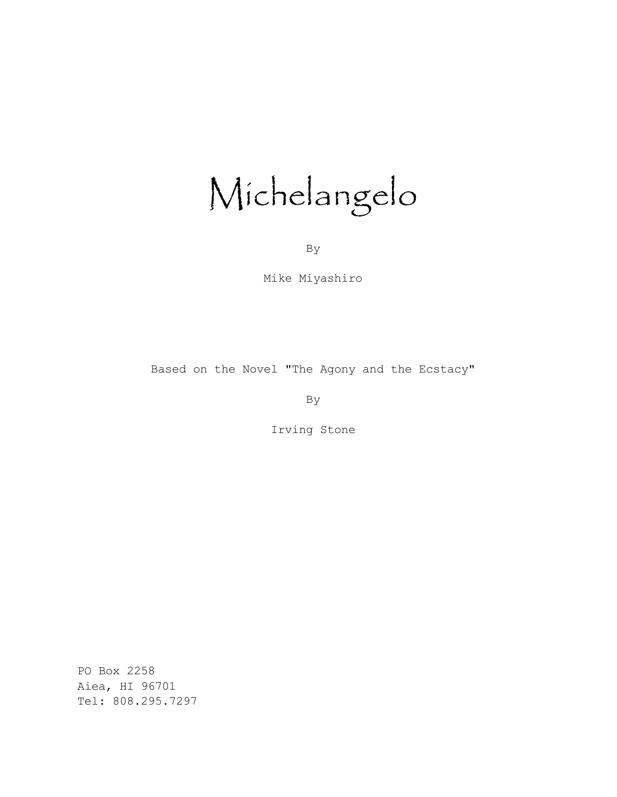# Michelangelo

By

Mike Miyashiro

Based on the Novel "The Agony and the Ecstacy"

By

Irving Stone

PO Box 2258 Aiea, HI 96701 Tel: 808.295.7297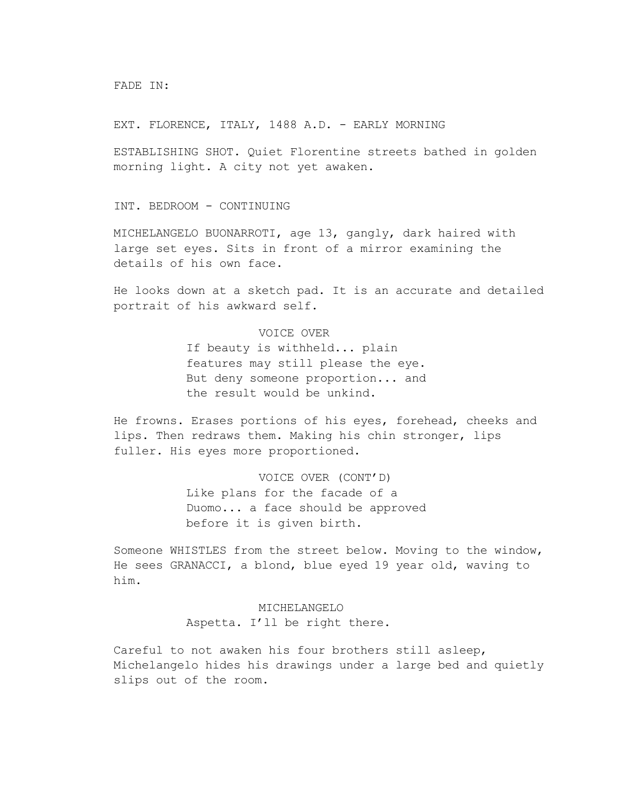FADE IN:

EXT. FLORENCE, ITALY, 1488 A.D. - EARLY MORNING

ESTABLISHING SHOT. Quiet Florentine streets bathed in golden morning light. A city not yet awaken.

INT. BEDROOM - CONTINUING

MICHELANGELO BUONARROTI, age 13, gangly, dark haired with large set eyes. Sits in front of a mirror examining the details of his own face.

He looks down at a sketch pad. It is an accurate and detailed portrait of his awkward self.

# VOICE OVER

If beauty is withheld... plain features may still please the eye. But deny someone proportion... and the result would be unkind.

He frowns. Erases portions of his eyes, forehead, cheeks and lips. Then redraws them. Making his chin stronger, lips fuller. His eyes more proportioned.

> VOICE OVER (CONT'D) Like plans for the facade of a Duomo... a face should be approved before it is given birth.

Someone WHISTLES from the street below. Moving to the window, He sees GRANACCI, a blond, blue eyed 19 year old, waving to him.

> MICHELANGELO Aspetta. I'll be right there.

Careful to not awaken his four brothers still asleep, Michelangelo hides his drawings under a large bed and quietly slips out of the room.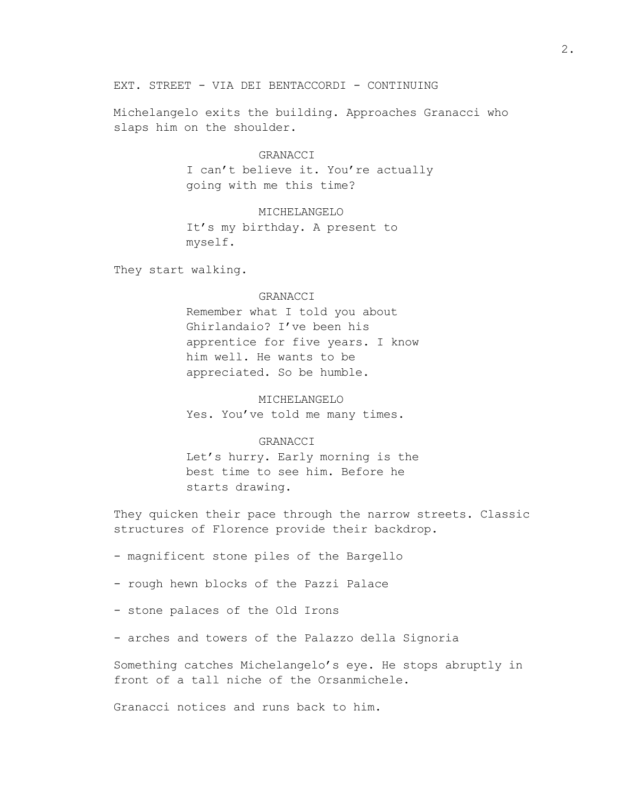### EXT. STREET - VIA DEI BENTACCORDI - CONTINUING

Michelangelo exits the building. Approaches Granacci who slaps him on the shoulder.

## GRANACCI

I can't believe it. You're actually going with me this time?

#### MICHELANGELO

It's my birthday. A present to myself.

They start walking.

#### GRANACCI

Remember what I told you about Ghirlandaio? I've been his apprentice for five years. I know him well. He wants to be appreciated. So be humble.

MICHELANGELO Yes. You've told me many times.

#### GRANACCI

Let's hurry. Early morning is the best time to see him. Before he starts drawing.

They quicken their pace through the narrow streets. Classic structures of Florence provide their backdrop.

- magnificent stone piles of the Bargello
- rough hewn blocks of the Pazzi Palace
- stone palaces of the Old Irons
- arches and towers of the Palazzo della Signoria

Something catches Michelangelo's eye. He stops abruptly in front of a tall niche of the Orsanmichele.

Granacci notices and runs back to him.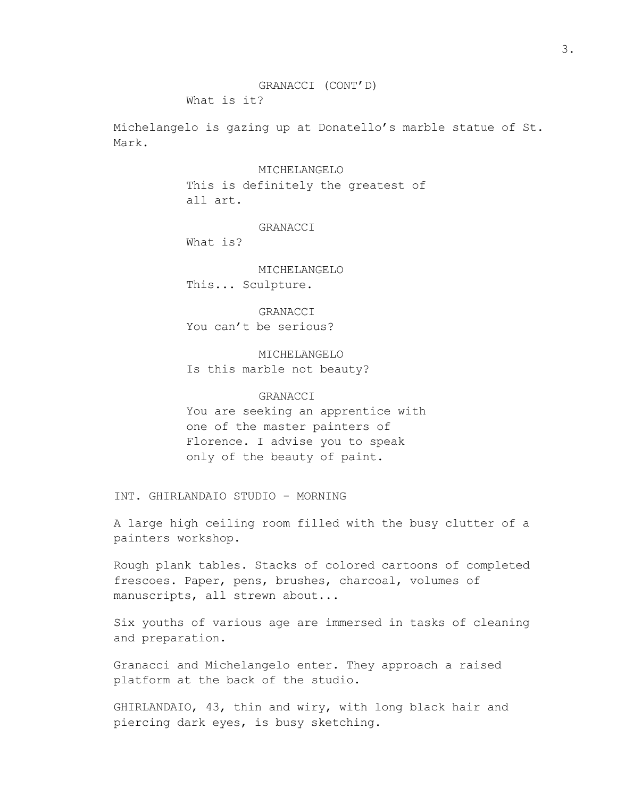What is it?

Michelangelo is gazing up at Donatello's marble statue of St. Mark.

MICHELANGELO

This is definitely the greatest of all art.

GRANACCI

What is?

MICHELANGELO This... Sculpture.

GRANACCI You can't be serious?

MICHELANGELO Is this marble not beauty?

#### GRANACCI

You are seeking an apprentice with one of the master painters of Florence. I advise you to speak only of the beauty of paint.

INT. GHIRLANDAIO STUDIO - MORNING

A large high ceiling room filled with the busy clutter of a painters workshop.

Rough plank tables. Stacks of colored cartoons of completed frescoes. Paper, pens, brushes, charcoal, volumes of manuscripts, all strewn about...

Six youths of various age are immersed in tasks of cleaning and preparation.

Granacci and Michelangelo enter. They approach a raised platform at the back of the studio.

GHIRLANDAIO, 43, thin and wiry, with long black hair and piercing dark eyes, is busy sketching.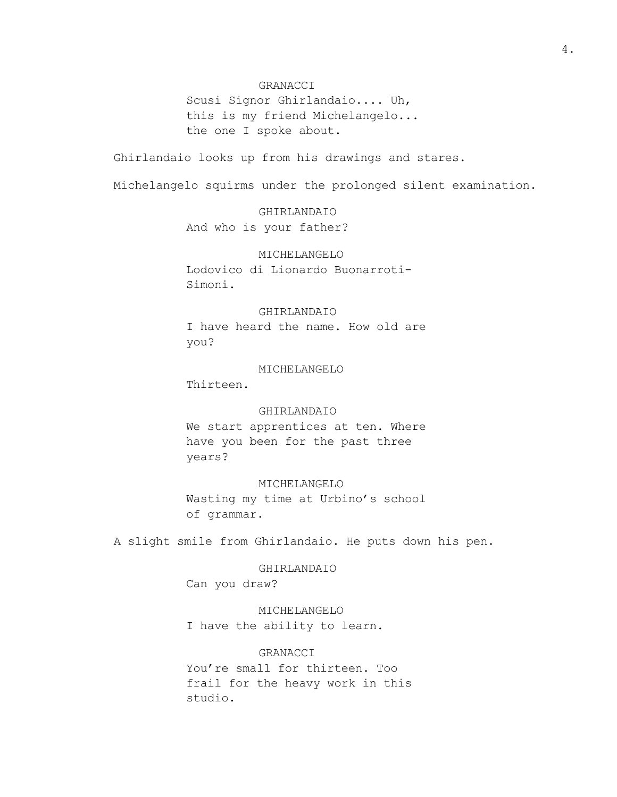#### GRANACCI

Scusi Signor Ghirlandaio.... Uh, this is my friend Michelangelo... the one I spoke about.

Ghirlandaio looks up from his drawings and stares.

Michelangelo squirms under the prolonged silent examination.

GHIRLANDAIO And who is your father?

# MICHELANGELO Lodovico di Lionardo Buonarroti-Simoni.

## GHIRLANDAIO

I have heard the name. How old are you?

#### MICHELANGELO

Thirteen.

#### GHIRLANDAIO

We start apprentices at ten. Where have you been for the past three years?

# MICHELANGELO Wasting my time at Urbino's school of grammar.

A slight smile from Ghirlandaio. He puts down his pen.

GHIRLANDAIO Can you draw?

MICHELANGELO I have the ability to learn.

GRANACCI You're small for thirteen. Too frail for the heavy work in this studio.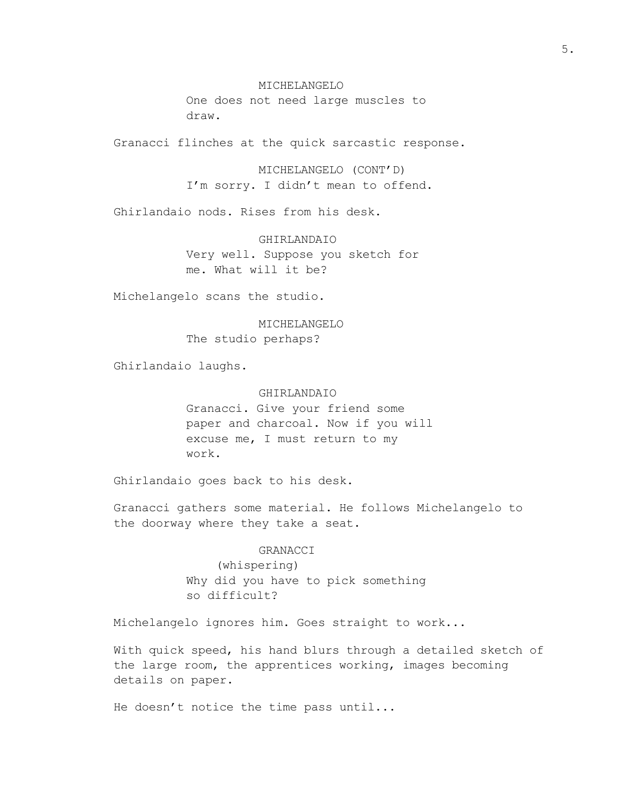MICHELANGELO One does not need large muscles to draw.

Granacci flinches at the quick sarcastic response.

MICHELANGELO (CONT'D) I'm sorry. I didn't mean to offend.

Ghirlandaio nods. Rises from his desk.

GHIRLANDAIO Very well. Suppose you sketch for me. What will it be?

Michelangelo scans the studio.

MICHELANGELO The studio perhaps?

Ghirlandaio laughs.

# GHIRLANDAIO

Granacci. Give your friend some paper and charcoal. Now if you will excuse me, I must return to my work.

Ghirlandaio goes back to his desk.

Granacci gathers some material. He follows Michelangelo to the doorway where they take a seat.

#### GRANACCI

(whispering) Why did you have to pick something so difficult?

Michelangelo ignores him. Goes straight to work...

With quick speed, his hand blurs through a detailed sketch of the large room, the apprentices working, images becoming details on paper.

He doesn't notice the time pass until...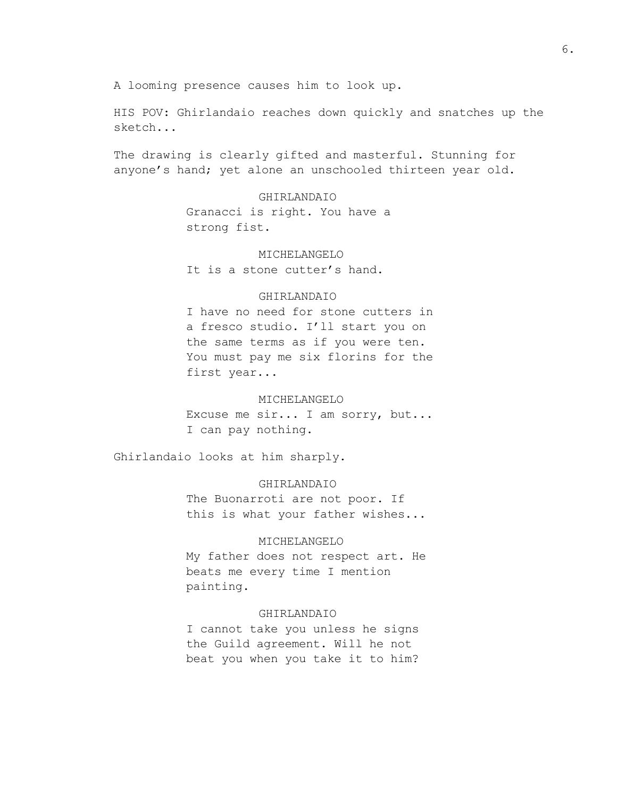A looming presence causes him to look up.

HIS POV: Ghirlandaio reaches down quickly and snatches up the sketch...

The drawing is clearly gifted and masterful. Stunning for anyone's hand; yet alone an unschooled thirteen year old.

> GHIRLANDAIO Granacci is right. You have a strong fist.

MICHELANGELO It is a stone cutter's hand.

#### GHIRLANDAIO

I have no need for stone cutters in a fresco studio. I'll start you on the same terms as if you were ten. You must pay me six florins for the first year...

#### MICHELANGELO

Excuse me sir... I am sorry, but... I can pay nothing.

Ghirlandaio looks at him sharply.

#### GHIRLANDAIO

The Buonarroti are not poor. If this is what your father wishes...

#### MICHELANGELO

My father does not respect art. He beats me every time I mention painting.

#### GHIRLANDAIO

I cannot take you unless he signs the Guild agreement. Will he not beat you when you take it to him?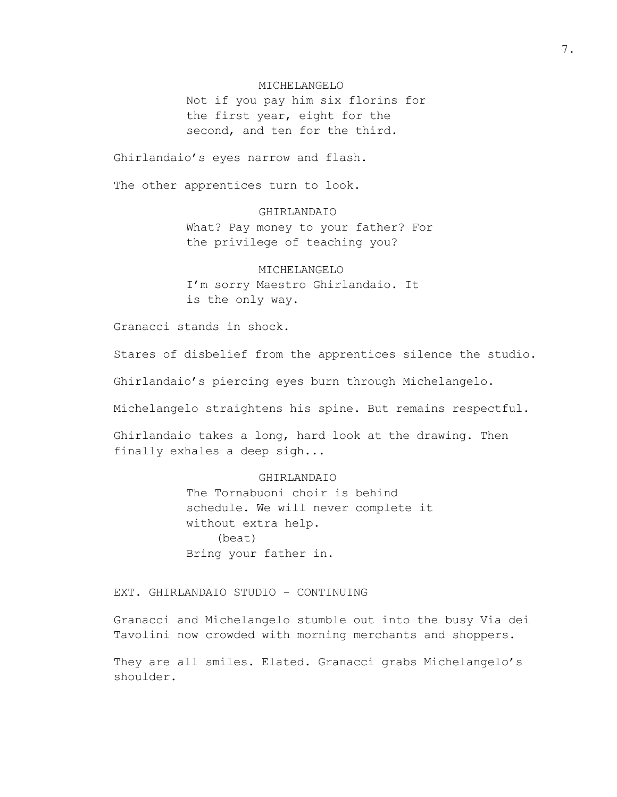#### MICHELANGELO

Not if you pay him six florins for the first year, eight for the second, and ten for the third.

Ghirlandaio's eyes narrow and flash.

The other apprentices turn to look.

GHIRLANDAIO What? Pay money to your father? For the privilege of teaching you?

MICHELANGELO I'm sorry Maestro Ghirlandaio. It is the only way.

Granacci stands in shock.

Stares of disbelief from the apprentices silence the studio.

Ghirlandaio's piercing eyes burn through Michelangelo.

Michelangelo straightens his spine. But remains respectful.

Ghirlandaio takes a long, hard look at the drawing. Then finally exhales a deep sigh...

#### GHIRLANDAIO

The Tornabuoni choir is behind schedule. We will never complete it without extra help. (beat) Bring your father in.

EXT. GHIRLANDAIO STUDIO - CONTINUING

Granacci and Michelangelo stumble out into the busy Via dei Tavolini now crowded with morning merchants and shoppers.

They are all smiles. Elated. Granacci grabs Michelangelo's shoulder.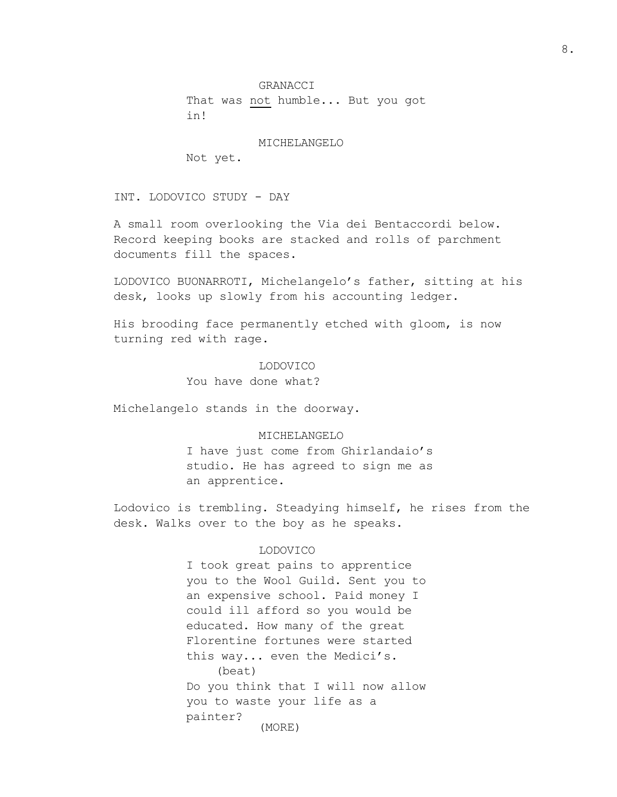That was not humble... But you got in!

MICHELANGELO

Not yet.

INT. LODOVICO STUDY - DAY

A small room overlooking the Via dei Bentaccordi below. Record keeping books are stacked and rolls of parchment documents fill the spaces.

LODOVICO BUONARROTI, Michelangelo's father, sitting at his desk, looks up slowly from his accounting ledger.

His brooding face permanently etched with gloom, is now turning red with rage.

# LODOVICO

You have done what?

Michelangelo stands in the doorway.

#### MICHELANGELO

I have just come from Ghirlandaio's studio. He has agreed to sign me as an apprentice.

Lodovico is trembling. Steadying himself, he rises from the desk. Walks over to the boy as he speaks.

#### LODOVICO

I took great pains to apprentice you to the Wool Guild. Sent you to an expensive school. Paid money I could ill afford so you would be educated. How many of the great Florentine fortunes were started this way... even the Medici's. (beat) Do you think that I will now allow you to waste your life as a painter? (MORE)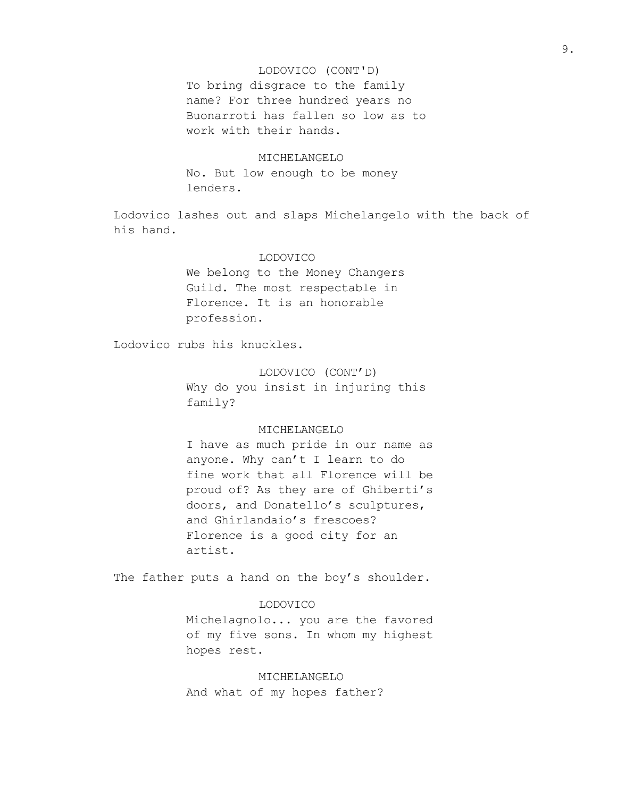#### LODOVICO (CONT'D)

To bring disgrace to the family name? For three hundred years no Buonarroti has fallen so low as to work with their hands.

# MICHELANGELO

No. But low enough to be money lenders.

Lodovico lashes out and slaps Michelangelo with the back of his hand.

#### LODOVICO

We belong to the Money Changers Guild. The most respectable in Florence. It is an honorable profession.

Lodovico rubs his knuckles.

# LODOVICO (CONT'D)

Why do you insist in injuring this family?

#### MICHELANGELO

I have as much pride in our name as anyone. Why can't I learn to do fine work that all Florence will be proud of? As they are of Ghiberti's doors, and Donatello's sculptures, and Ghirlandaio's frescoes? Florence is a good city for an artist.

The father puts a hand on the boy's shoulder.

# LODOVICO

Michelagnolo... you are the favored of my five sons. In whom my highest hopes rest.

MICHELANGELO And what of my hopes father?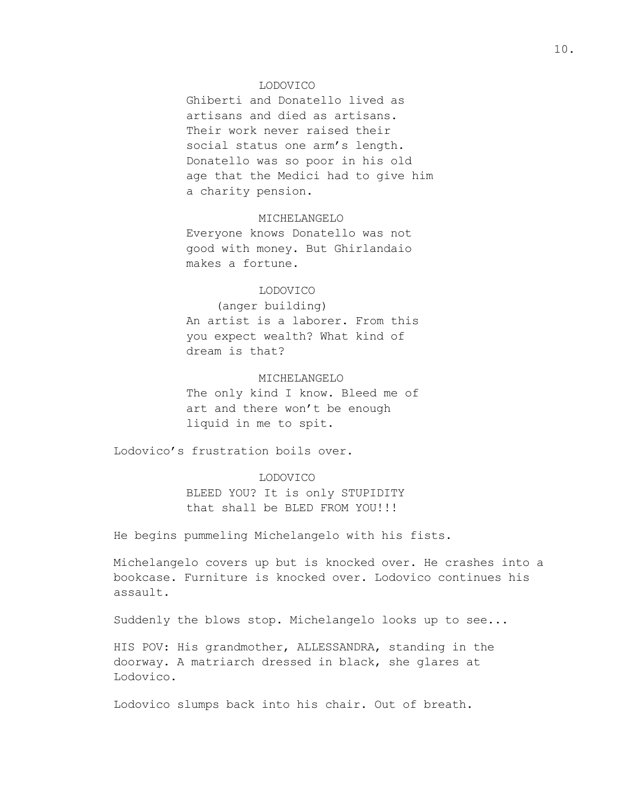#### LODOVICO

Ghiberti and Donatello lived as artisans and died as artisans. Their work never raised their social status one arm's length. Donatello was so poor in his old age that the Medici had to give him a charity pension.

#### MICHELANGELO

Everyone knows Donatello was not good with money. But Ghirlandaio makes a fortune.

#### LODOVICO

(anger building) An artist is a laborer. From this you expect wealth? What kind of dream is that?

## MICHELANGELO

The only kind I know. Bleed me of art and there won't be enough liquid in me to spit.

Lodovico's frustration boils over.

#### LODOVICO

BLEED YOU? It is only STUPIDITY that shall be BLED FROM YOU!!!

He begins pummeling Michelangelo with his fists.

Michelangelo covers up but is knocked over. He crashes into a bookcase. Furniture is knocked over. Lodovico continues his assault.

Suddenly the blows stop. Michelangelo looks up to see...

HIS POV: His grandmother, ALLESSANDRA, standing in the doorway. A matriarch dressed in black, she glares at Lodovico.

Lodovico slumps back into his chair. Out of breath.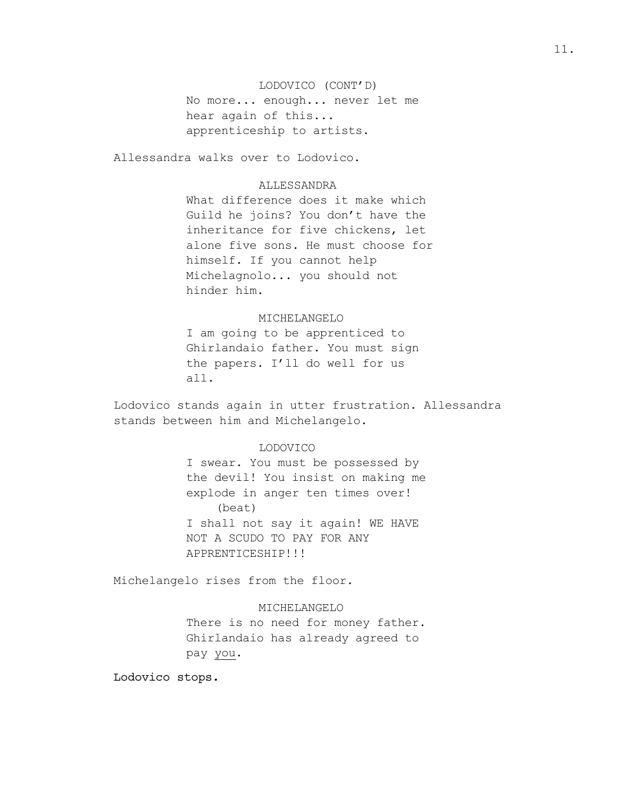LODOVICO (CONT'D) No more... enough... never let me hear again of this... apprenticeship to artists.

Allessandra walks over to Lodovico.

# **ALLESSANDRA**

What difference does it make which Guild he joins? You don't have the inheritance for five chickens, let alone five sons. He must choose for himself. If you cannot help Michelagnolo... you should not hinder him.

#### MICHELANGELO

I am going to be apprenticed to Ghirlandaio father. You must sign the papers. I'll do well for us all.

Lodovico stands again in utter frustration. Allessandra stands between him and Michelangelo.

# LODOVICO

I swear. You must be possessed by the devil! You insist on making me explode in anger ten times over! (beat) I shall not say it again! WE HAVE NOT A SCUDO TO PAY FOR ANY APPRENTICESHIP!!!

Michelangelo rises from the floor.

# MICHELANGELO

There is no need for money father. Ghirlandaio has already agreed to pay you.

Lodovico stops.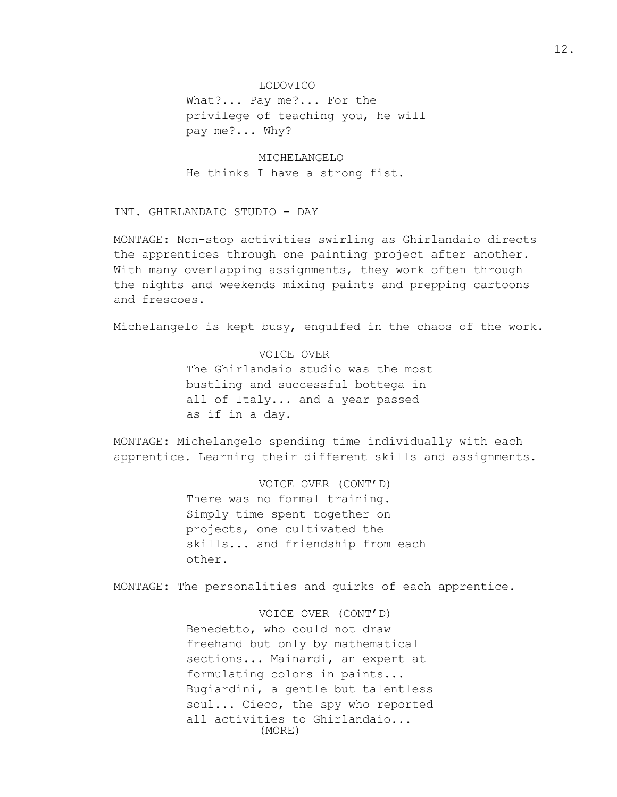#### LODOVICO

What?... Pay me?... For the privilege of teaching you, he will pay me?... Why?

MICHELANGELO He thinks I have a strong fist.

INT. GHIRLANDAIO STUDIO - DAY

MONTAGE: Non-stop activities swirling as Ghirlandaio directs the apprentices through one painting project after another. With many overlapping assignments, they work often through the nights and weekends mixing paints and prepping cartoons and frescoes.

Michelangelo is kept busy, engulfed in the chaos of the work.

VOICE OVER The Ghirlandaio studio was the most bustling and successful bottega in all of Italy... and a year passed as if in a day.

MONTAGE: Michelangelo spending time individually with each apprentice. Learning their different skills and assignments.

> VOICE OVER (CONT'D) There was no formal training. Simply time spent together on projects, one cultivated the skills... and friendship from each other.

MONTAGE: The personalities and quirks of each apprentice.

VOICE OVER (CONT'D) Benedetto, who could not draw freehand but only by mathematical sections... Mainardi, an expert at formulating colors in paints... Bugiardini, a gentle but talentless soul... Cieco, the spy who reported all activities to Ghirlandaio... (MORE)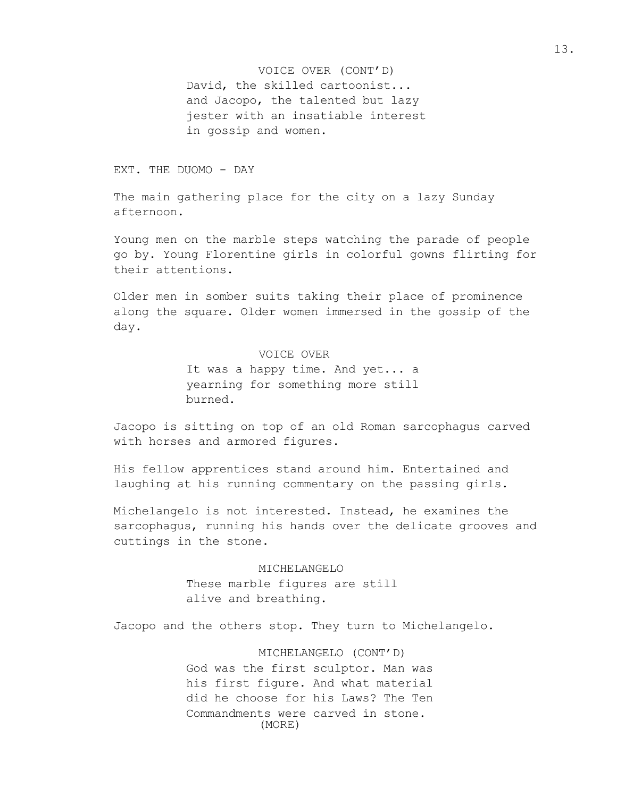David, the skilled cartoonist... and Jacopo, the talented but lazy jester with an insatiable interest in gossip and women. VOICE OVER (CONT'D)

EXT. THE DUOMO - DAY

The main gathering place for the city on a lazy Sunday afternoon.

Young men on the marble steps watching the parade of people go by. Young Florentine girls in colorful gowns flirting for their attentions.

Older men in somber suits taking their place of prominence along the square. Older women immersed in the gossip of the day.

# VOICE OVER

It was a happy time. And yet... a yearning for something more still burned.

Jacopo is sitting on top of an old Roman sarcophagus carved with horses and armored figures.

His fellow apprentices stand around him. Entertained and laughing at his running commentary on the passing girls.

Michelangelo is not interested. Instead, he examines the sarcophagus, running his hands over the delicate grooves and cuttings in the stone.

> MICHELANGELO These marble figures are still alive and breathing.

Jacopo and the others stop. They turn to Michelangelo.

MICHELANGELO (CONT'D) God was the first sculptor. Man was his first figure. And what material did he choose for his Laws? The Ten Commandments were carved in stone. (MORE)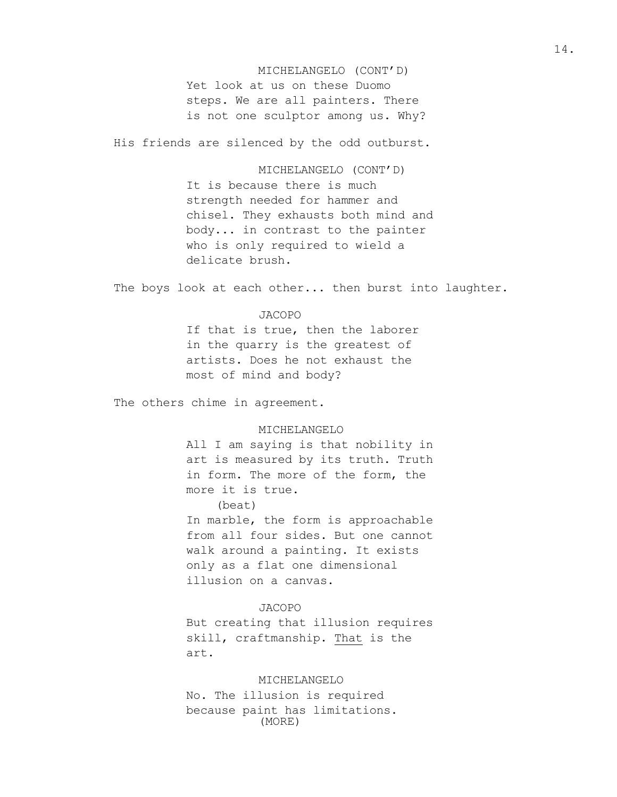Yet look at us on these Duomo steps. We are all painters. There is not one sculptor among us. Why? MICHELANGELO (CONT'D)

His friends are silenced by the odd outburst.

MICHELANGELO (CONT'D) It is because there is much strength needed for hammer and chisel. They exhausts both mind and body... in contrast to the painter who is only required to wield a delicate brush.

The boys look at each other... then burst into laughter.

#### JACOPO

If that is true, then the laborer in the quarry is the greatest of artists. Does he not exhaust the most of mind and body?

The others chime in agreement.

# MICHELANGELO

All I am saying is that nobility in art is measured by its truth. Truth in form. The more of the form, the more it is true.

# (beat)

In marble, the form is approachable from all four sides. But one cannot walk around a painting. It exists only as a flat one dimensional illusion on a canvas.

#### JACOPO

But creating that illusion requires skill, craftmanship. That is the art.

#### MICHELANGELO

No. The illusion is required because paint has limitations. (MORE)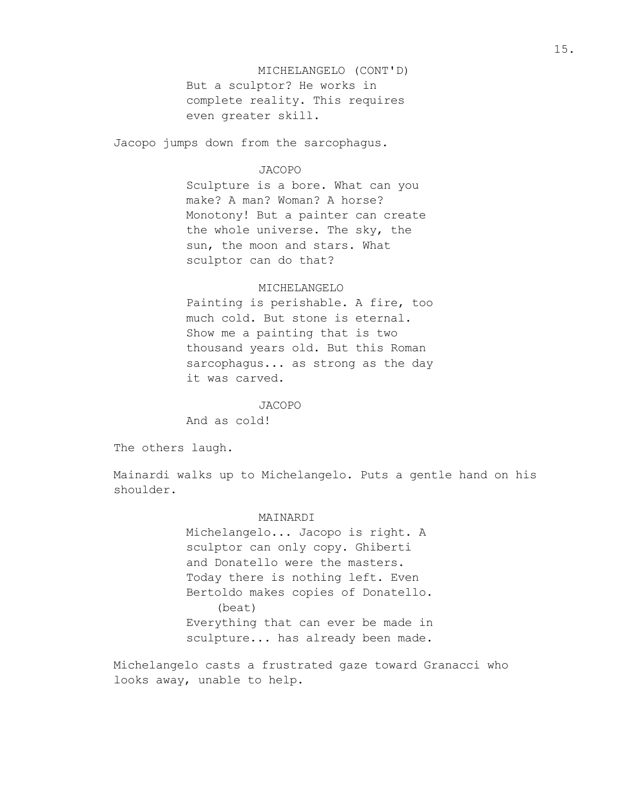But a sculptor? He works in complete reality. This requires even greater skill. MICHELANGELO (CONT'D)

Jacopo jumps down from the sarcophagus.

#### JACOPO

Sculpture is a bore. What can you make? A man? Woman? A horse? Monotony! But a painter can create the whole universe. The sky, the sun, the moon and stars. What sculptor can do that?

## MICHELANGELO

Painting is perishable. A fire, too much cold. But stone is eternal. Show me a painting that is two thousand years old. But this Roman sarcophagus... as strong as the day it was carved.

#### JACOPO

And as cold!

The others laugh.

Mainardi walks up to Michelangelo. Puts a gentle hand on his shoulder.

#### MAINARDI

Michelangelo... Jacopo is right. A sculptor can only copy. Ghiberti and Donatello were the masters. Today there is nothing left. Even Bertoldo makes copies of Donatello. (beat) Everything that can ever be made in sculpture... has already been made.

Michelangelo casts a frustrated gaze toward Granacci who looks away, unable to help.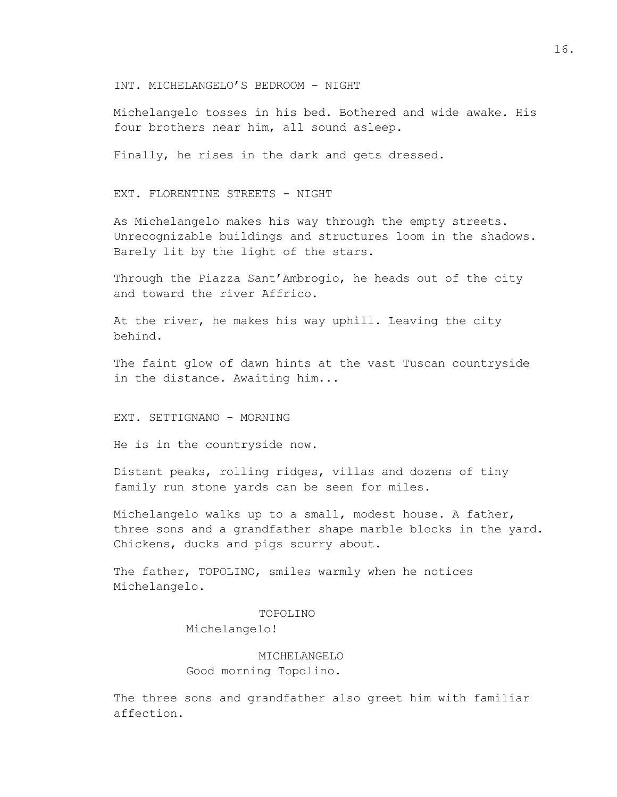#### INT. MICHELANGELO'S BEDROOM - NIGHT

Michelangelo tosses in his bed. Bothered and wide awake. His four brothers near him, all sound asleep.

Finally, he rises in the dark and gets dressed.

EXT. FLORENTINE STREETS - NIGHT

As Michelangelo makes his way through the empty streets. Unrecognizable buildings and structures loom in the shadows. Barely lit by the light of the stars.

Through the Piazza Sant'Ambrogio, he heads out of the city and toward the river Affrico.

At the river, he makes his way uphill. Leaving the city behind.

The faint glow of dawn hints at the vast Tuscan countryside in the distance. Awaiting him...

EXT. SETTIGNANO - MORNING

He is in the countryside now.

Distant peaks, rolling ridges, villas and dozens of tiny family run stone yards can be seen for miles.

Michelangelo walks up to a small, modest house. A father, three sons and a grandfather shape marble blocks in the yard. Chickens, ducks and pigs scurry about.

The father, TOPOLINO, smiles warmly when he notices Michelangelo.

#### TOPOLINO

Michelangelo!

# MICHELANGELO Good morning Topolino.

The three sons and grandfather also greet him with familiar affection.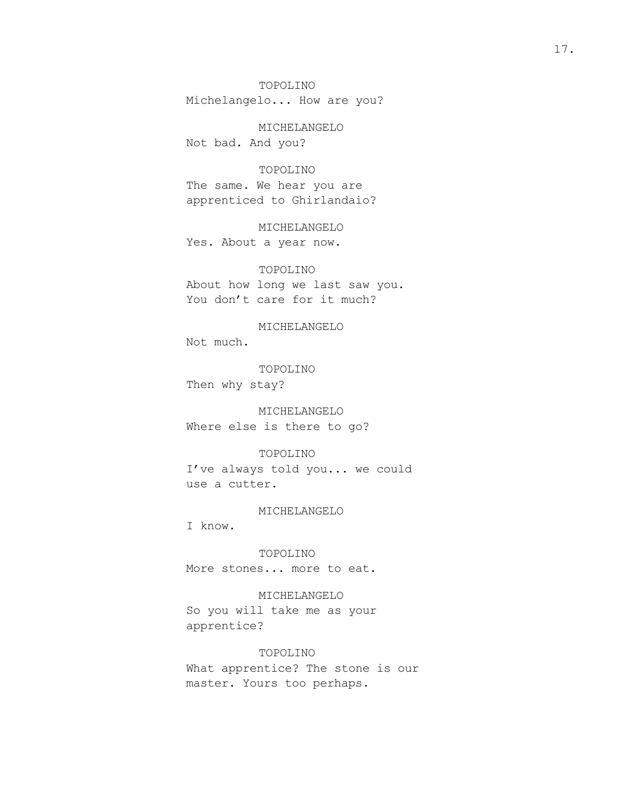TOPOLINO Michelangelo... How are you?

MICHELANGELO Not bad. And you?

#### TOPOLINO

The same. We hear you are apprenticed to Ghirlandaio?

# MICHELANGELO

Yes. About a year now.

#### TOPOLINO

About how long we last saw you. You don't care for it much?

MICHELANGELO

Not much.

TOPOLINO Then why stay?

MICHELANGELO

Where else is there to go?

# TOPOLINO

I've always told you... we could use a cutter.

#### MICHELANGELO

I know.

TOPOLINO More stones... more to eat.

#### MICHELANGELO

So you will take me as your apprentice?

# TOPOLINO

What apprentice? The stone is our master. Yours too perhaps.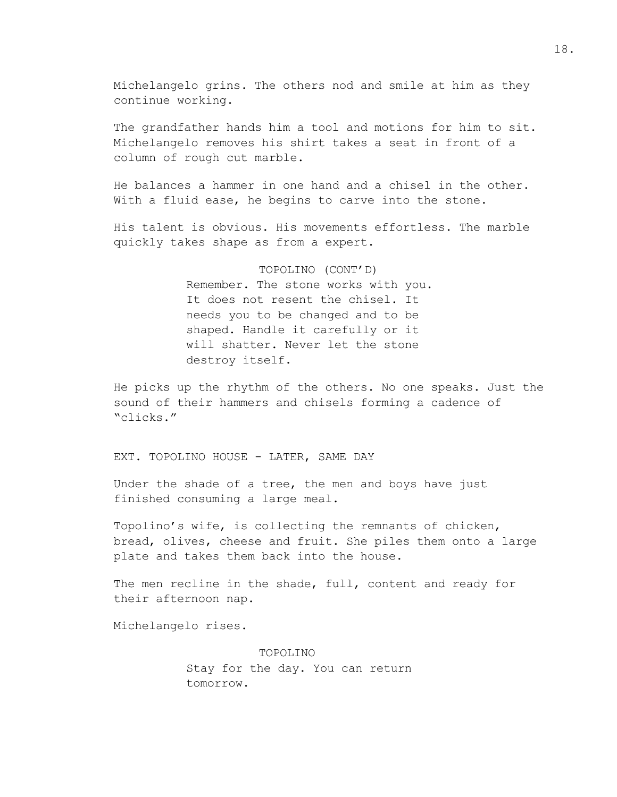Michelangelo grins. The others nod and smile at him as they continue working.

The grandfather hands him a tool and motions for him to sit. Michelangelo removes his shirt takes a seat in front of a column of rough cut marble.

He balances a hammer in one hand and a chisel in the other. With a fluid ease, he begins to carve into the stone.

His talent is obvious. His movements effortless. The marble quickly takes shape as from a expert.

> TOPOLINO (CONT'D) Remember. The stone works with you. It does not resent the chisel. It needs you to be changed and to be shaped. Handle it carefully or it will shatter. Never let the stone destroy itself.

He picks up the rhythm of the others. No one speaks. Just the sound of their hammers and chisels forming a cadence of "clicks."

#### EXT. TOPOLINO HOUSE - LATER, SAME DAY

Under the shade of a tree, the men and boys have just finished consuming a large meal.

Topolino's wife, is collecting the remnants of chicken, bread, olives, cheese and fruit. She piles them onto a large plate and takes them back into the house.

The men recline in the shade, full, content and ready for their afternoon nap.

Michelangelo rises.

TOPOLINO Stay for the day. You can return tomorrow.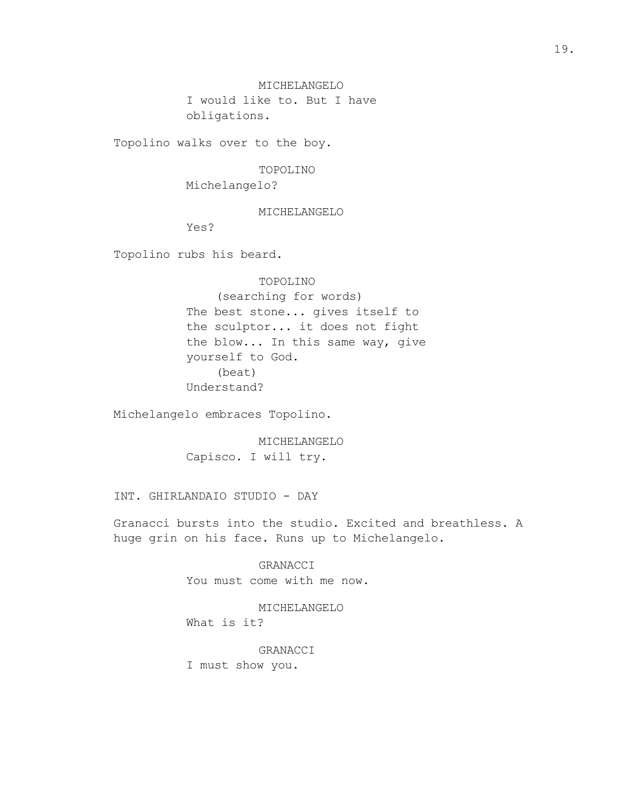MICHELANGELO I would like to. But I have obligations.

Topolino walks over to the boy.

#### TOPOLINO

Michelangelo?

#### MICHELANGELO

Yes?

Topolino rubs his beard.

# TOPOLINO

(searching for words) The best stone... gives itself to the sculptor... it does not fight the blow... In this same way, give yourself to God. (beat) Understand?

Michelangelo embraces Topolino.

MICHELANGELO Capisco. I will try.

INT. GHIRLANDAIO STUDIO - DAY

Granacci bursts into the studio. Excited and breathless. A huge grin on his face. Runs up to Michelangelo.

> GRANACCI You must come with me now.

# MICHELANGELO

What is it?

# GRANACCI

I must show you.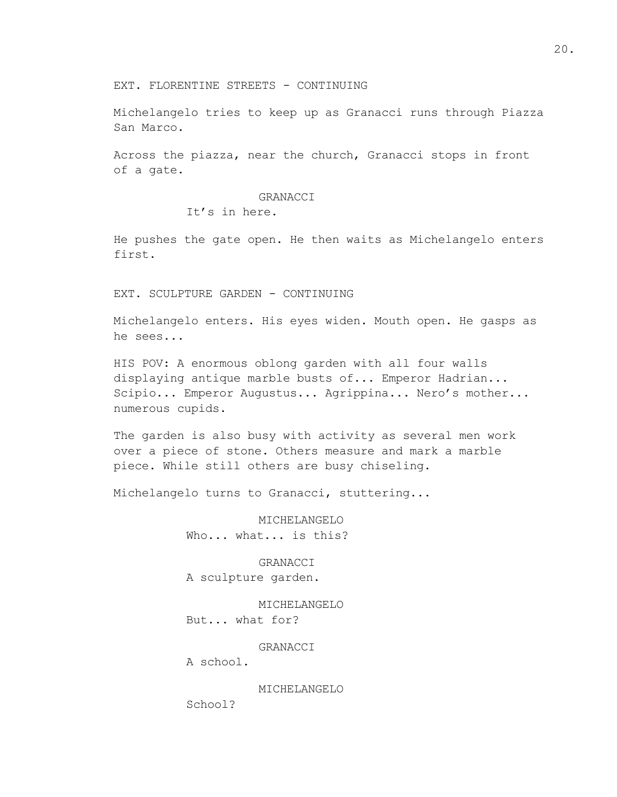EXT. FLORENTINE STREETS - CONTINUING

Michelangelo tries to keep up as Granacci runs through Piazza San Marco.

Across the piazza, near the church, Granacci stops in front of a gate.

GRANACCI

It's in here.

He pushes the gate open. He then waits as Michelangelo enters first.

EXT. SCULPTURE GARDEN - CONTINUING

Michelangelo enters. His eyes widen. Mouth open. He gasps as he sees...

HIS POV: A enormous oblong garden with all four walls displaying antique marble busts of... Emperor Hadrian... Scipio... Emperor Augustus... Agrippina... Nero's mother... numerous cupids.

The garden is also busy with activity as several men work over a piece of stone. Others measure and mark a marble piece. While still others are busy chiseling.

Michelangelo turns to Granacci, stuttering...

MICHELANGELO Who... what... is this?

GRANACCI A sculpture garden.

MICHELANGELO But... what for?

GRANACCI

A school.

MICHELANGELO

School?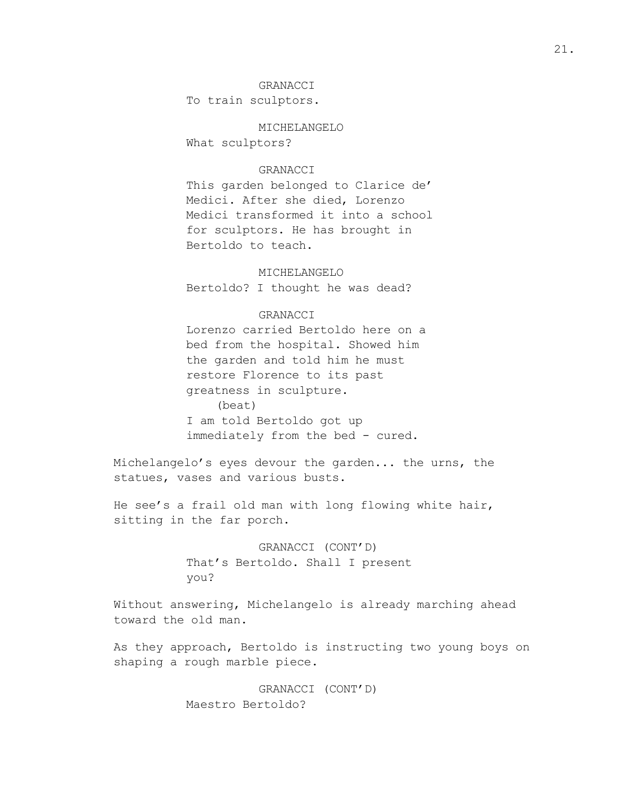#### GRANACCI

To train sculptors.

MICHELANGELO

What sculptors?

#### GRANACCI

This garden belonged to Clarice de' Medici. After she died, Lorenzo Medici transformed it into a school for sculptors. He has brought in Bertoldo to teach.

MICHELANGELO Bertoldo? I thought he was dead?

# GRANACCI

Lorenzo carried Bertoldo here on a bed from the hospital. Showed him the garden and told him he must restore Florence to its past greatness in sculpture. (beat) I am told Bertoldo got up immediately from the bed - cured.

Michelangelo's eyes devour the garden... the urns, the statues, vases and various busts.

He see's a frail old man with long flowing white hair, sitting in the far porch.

> GRANACCI (CONT'D) That's Bertoldo. Shall I present you?

Without answering, Michelangelo is already marching ahead toward the old man.

As they approach, Bertoldo is instructing two young boys on shaping a rough marble piece.

> GRANACCI (CONT'D) Maestro Bertoldo?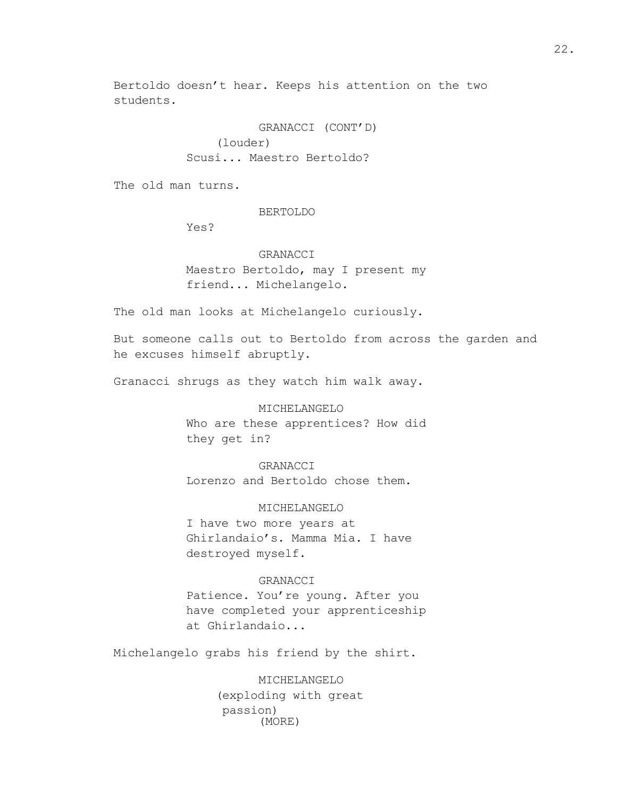Bertoldo doesn't hear. Keeps his attention on the two students.

> GRANACCI (CONT'D) (louder) Scusi... Maestro Bertoldo?

The old man turns.

#### BERTOLDO

Yes?

# GRANACCI

Maestro Bertoldo, may I present my friend... Michelangelo.

The old man looks at Michelangelo curiously.

But someone calls out to Bertoldo from across the garden and he excuses himself abruptly.

Granacci shrugs as they watch him walk away.

# MICHELANGELO

Who are these apprentices? How did they get in?

GRANACCI Lorenzo and Bertoldo chose them.

MICHELANGELO I have two more years at Ghirlandaio's. Mamma Mia. I have destroyed myself.

# GRANACCI

Patience. You're young. After you have completed your apprenticeship at Ghirlandaio...

Michelangelo grabs his friend by the shirt.

MICHELANGELO (exploding with great passion) (MORE)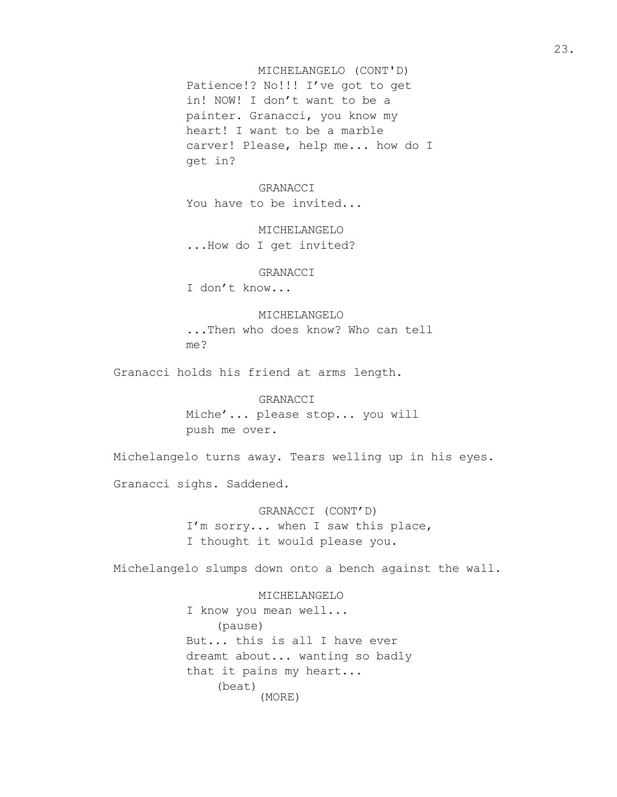Patience!? No!!! I've got to get in! NOW! I don't want to be a painter. Granacci, you know my heart! I want to be a marble carver! Please, help me... how do I get in? MICHELANGELO (CONT'D)

#### GRANACCI

You have to be invited...

MICHELANGELO ...How do I get invited?

#### GRANACCI

I don't know...

# MICHELANGELO

...Then who does know? Who can tell me?

Granacci holds his friend at arms length.

GRANACCI Miche'... please stop... you will push me over.

Michelangelo turns away. Tears welling up in his eyes.

Granacci sighs. Saddened.

GRANACCI (CONT'D) I'm sorry... when I saw this place, I thought it would please you.

Michelangelo slumps down onto a bench against the wall.

MICHELANGELO I know you mean well... (pause) But... this is all I have ever dreamt about... wanting so badly that it pains my heart... (beat) (MORE)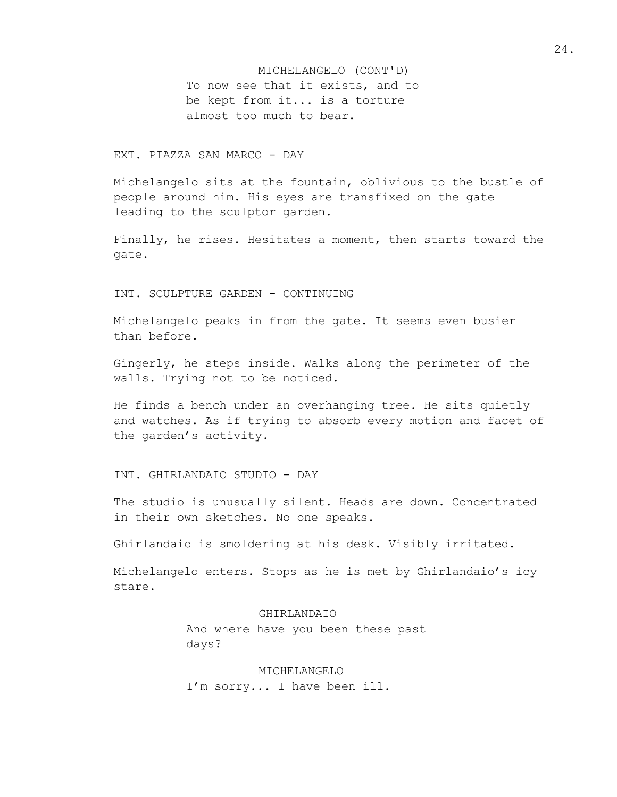To now see that it exists, and to be kept from it... is a torture almost too much to bear. MICHELANGELO (CONT'D)

# EXT. PIAZZA SAN MARCO - DAY

Michelangelo sits at the fountain, oblivious to the bustle of people around him. His eyes are transfixed on the gate leading to the sculptor garden.

Finally, he rises. Hesitates a moment, then starts toward the gate.

INT. SCULPTURE GARDEN - CONTINUING

Michelangelo peaks in from the gate. It seems even busier than before.

Gingerly, he steps inside. Walks along the perimeter of the walls. Trying not to be noticed.

He finds a bench under an overhanging tree. He sits quietly and watches. As if trying to absorb every motion and facet of the garden's activity.

INT. GHIRLANDAIO STUDIO - DAY

The studio is unusually silent. Heads are down. Concentrated in their own sketches. No one speaks.

Ghirlandaio is smoldering at his desk. Visibly irritated.

Michelangelo enters. Stops as he is met by Ghirlandaio's icy stare.

#### GHIRLANDAIO

And where have you been these past days?

MICHELANGELO I'm sorry... I have been ill. 24.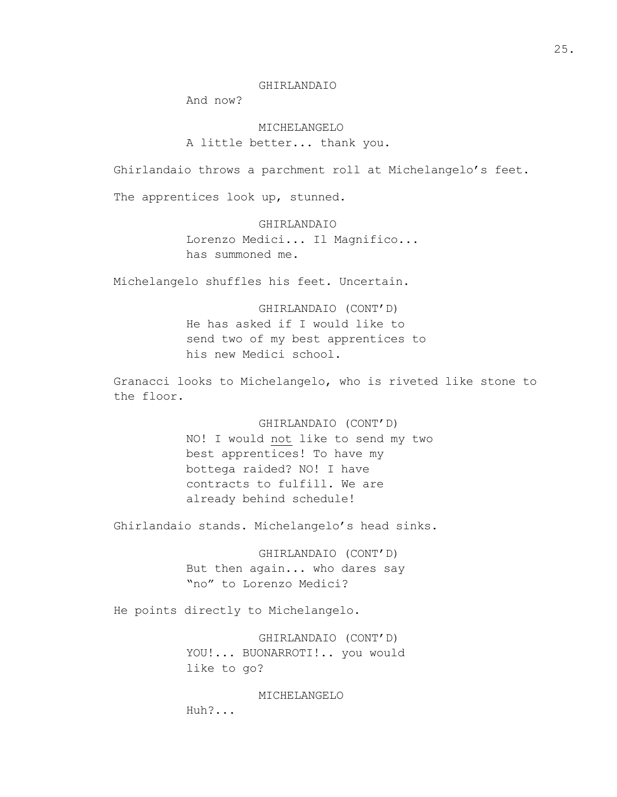#### GHIRLANDAIO

And now?

MICHELANGELO A little better... thank you.

Ghirlandaio throws a parchment roll at Michelangelo's feet.

The apprentices look up, stunned.

#### GHIRLANDAIO

Lorenzo Medici... Il Magnifico... has summoned me.

Michelangelo shuffles his feet. Uncertain.

GHIRLANDAIO (CONT'D) He has asked if I would like to send two of my best apprentices to his new Medici school.

Granacci looks to Michelangelo, who is riveted like stone to the floor.

> GHIRLANDAIO (CONT'D) NO! I would not like to send my two best apprentices! To have my bottega raided? NO! I have contracts to fulfill. We are already behind schedule!

Ghirlandaio stands. Michelangelo's head sinks.

GHIRLANDAIO (CONT'D) But then again... who dares say "no" to Lorenzo Medici?

He points directly to Michelangelo.

GHIRLANDAIO (CONT'D) YOU!... BUONARROTI!.. you would like to go?

MICHELANGELO

Huh?...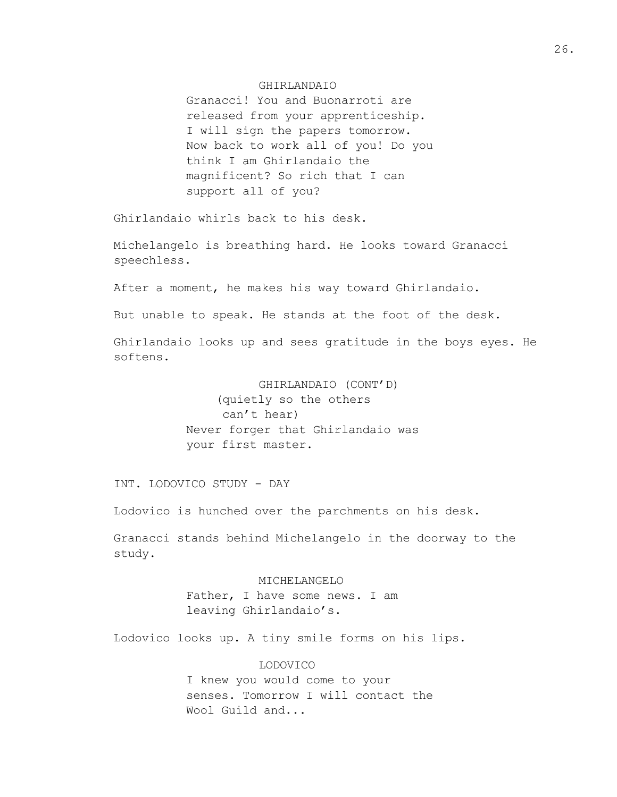#### GHIRLANDAIO

Granacci! You and Buonarroti are released from your apprenticeship. I will sign the papers tomorrow. Now back to work all of you! Do you think I am Ghirlandaio the magnificent? So rich that I can support all of you?

Ghirlandaio whirls back to his desk.

Michelangelo is breathing hard. He looks toward Granacci speechless.

After a moment, he makes his way toward Ghirlandaio.

But unable to speak. He stands at the foot of the desk.

Ghirlandaio looks up and sees gratitude in the boys eyes. He softens.

> GHIRLANDAIO (CONT'D) (quietly so the others can't hear) Never forger that Ghirlandaio was your first master.

INT. LODOVICO STUDY - DAY

Lodovico is hunched over the parchments on his desk.

Granacci stands behind Michelangelo in the doorway to the study.

# MICHELANGELO

Father, I have some news. I am leaving Ghirlandaio's.

Lodovico looks up. A tiny smile forms on his lips.

#### LODOVICO

I knew you would come to your senses. Tomorrow I will contact the Wool Guild and...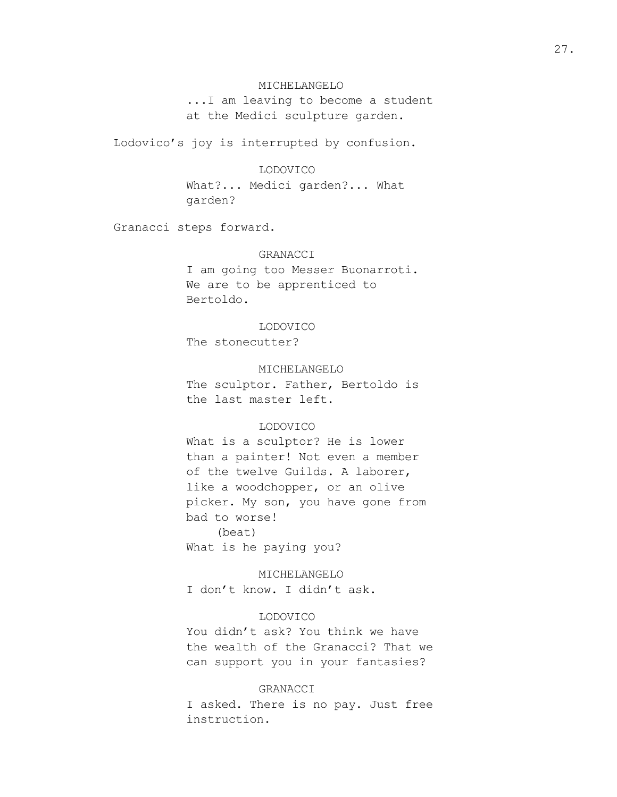#### MICHELANGELO

...I am leaving to become a student at the Medici sculpture garden.

Lodovico's joy is interrupted by confusion.

#### LODOVICO

What?... Medici garden?... What garden?

Granacci steps forward.

#### GRANACCI

I am going too Messer Buonarroti. We are to be apprenticed to Bertoldo.

#### LODOVICO

The stonecutter?

MICHELANGELO

The sculptor. Father, Bertoldo is the last master left.

# LODOVICO

What is a sculptor? He is lower than a painter! Not even a member of the twelve Guilds. A laborer, like a woodchopper, or an olive picker. My son, you have gone from bad to worse! (beat) What is he paying you?

MICHELANGELO I don't know. I didn't ask.

#### LODOVICO

You didn't ask? You think we have the wealth of the Granacci? That we can support you in your fantasies?

#### GRANACCI

I asked. There is no pay. Just free instruction.